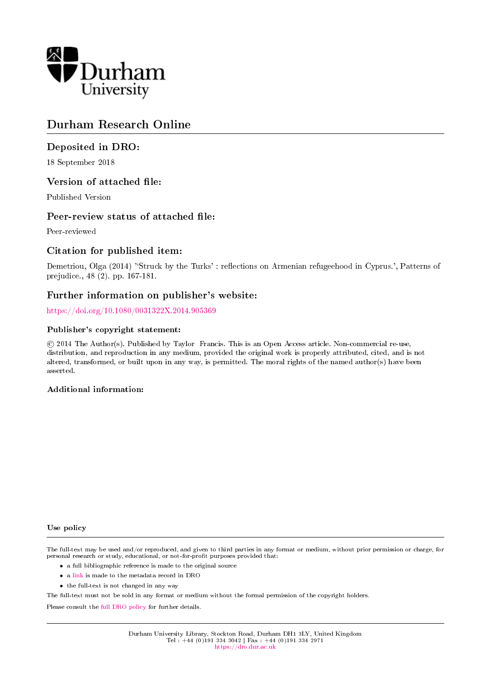

# Durham Research Online

## Deposited in DRO:

18 September 2018

### Version of attached file:

Published Version

### Peer-review status of attached file:

Peer-reviewed

### Citation for published item:

Demetriou, Olga (2014) "Struck by the Turks' : reflections on Armenian refugeehood in Cyprus.', Patterns of prejudice., 48 (2). pp. 167-181.

## Further information on publisher's website:

<https://doi.org/10.1080/0031322X.2014.905369>

### Publisher's copyright statement:

 c 2014 The Author(s). Published by Taylor Francis. This is an Open Access article. Non-commercial re-use, distribution, and reproduction in any medium, provided the original work is properly attributed, cited, and is not altered, transformed, or built upon in any way, is permitted. The moral rights of the named author(s) have been asserted.

### Additional information:

#### Use policy

The full-text may be used and/or reproduced, and given to third parties in any format or medium, without prior permission or charge, for personal research or study, educational, or not-for-profit purposes provided that:

- a full bibliographic reference is made to the original source
- a [link](http://dro.dur.ac.uk/26233/) is made to the metadata record in DRO
- the full-text is not changed in any way

The full-text must not be sold in any format or medium without the formal permission of the copyright holders.

Please consult the [full DRO policy](https://dro.dur.ac.uk/policies/usepolicy.pdf) for further details.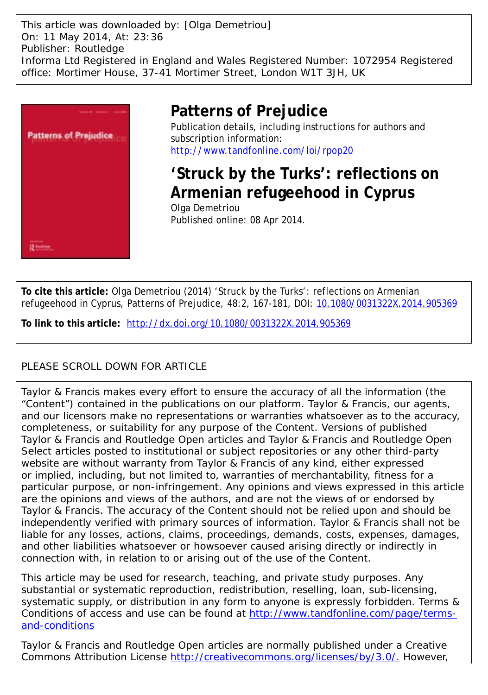This article was downloaded by: [Olga Demetriou] On: 11 May 2014, At: 23:36 Publisher: Routledge Informa Ltd Registered in England and Wales Registered Number: 1072954 Registered office: Mortimer House, 37-41 Mortimer Street, London W1T 3JH, UK



# **Patterns of Prejudice**

Publication details, including instructions for authors and subscription information: <http://www.tandfonline.com/loi/rpop20>

**'Struck by the Turks': reflections on Armenian refugeehood in Cyprus**

Olga Demetriou Published online: 08 Apr 2014.

**To cite this article:** Olga Demetriou (2014) 'Struck by the Turks': reflections on Armenian refugeehood in Cyprus, Patterns of Prejudice, 48:2, 167-181, DOI: [10.1080/0031322X.2014.905369](http://www.tandfonline.com/action/showCitFormats?doi=10.1080/0031322X.2014.905369)

**To link to this article:** <http://dx.doi.org/10.1080/0031322X.2014.905369>

# PLEASE SCROLL DOWN FOR ARTICLE

Taylor & Francis makes every effort to ensure the accuracy of all the information (the "Content") contained in the publications on our platform. Taylor & Francis, our agents, and our licensors make no representations or warranties whatsoever as to the accuracy, completeness, or suitability for any purpose of the Content. Versions of published Taylor & Francis and Routledge Open articles and Taylor & Francis and Routledge Open Select articles posted to institutional or subject repositories or any other third-party website are without warranty from Taylor & Francis of any kind, either expressed or implied, including, but not limited to, warranties of merchantability, fitness for a particular purpose, or non-infringement. Any opinions and views expressed in this article are the opinions and views of the authors, and are not the views of or endorsed by Taylor & Francis. The accuracy of the Content should not be relied upon and should be independently verified with primary sources of information. Taylor & Francis shall not be liable for any losses, actions, claims, proceedings, demands, costs, expenses, damages, and other liabilities whatsoever or howsoever caused arising directly or indirectly in connection with, in relation to or arising out of the use of the Content.

This article may be used for research, teaching, and private study purposes. Any substantial or systematic reproduction, redistribution, reselling, loan, sub-licensing, systematic supply, or distribution in any form to anyone is expressly forbidden. Terms & Conditions of access and use can be found at [http://www.tandfonline.com/page/terms](http://www.tandfonline.com/page/terms-and-conditions)[and-conditions](http://www.tandfonline.com/page/terms-and-conditions)

Taylor & Francis and Routledge Open articles are normally published under a Creative Commons Attribution License<http://creativecommons.org/licenses/by/3.0/.> However,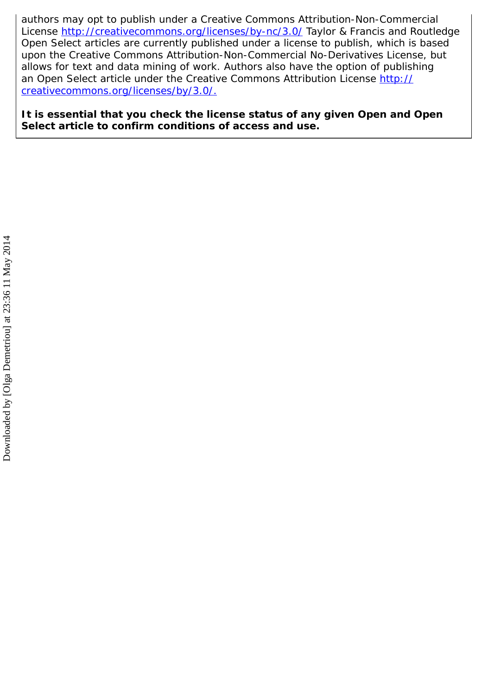authors may opt to publish under a Creative Commons Attribution-Non-Commercial License<http://creativecommons.org/licenses/by-nc/3.0/> Taylor & Francis and Routledge Open Select articles are currently published under a license to publish, which is based upon the Creative Commons Attribution-Non-Commercial No-Derivatives License, but allows for text and data mining of work. Authors also have the option of publishing an Open Select article under the Creative Commons Attribution License [http://](http://creativecommons.org/licenses/by/3.0/.) [creativecommons.org/licenses/by/3.0/.](http://creativecommons.org/licenses/by/3.0/.)

**It is essential that you check the license status of any given Open and Open Select article to confirm conditions of access and use.**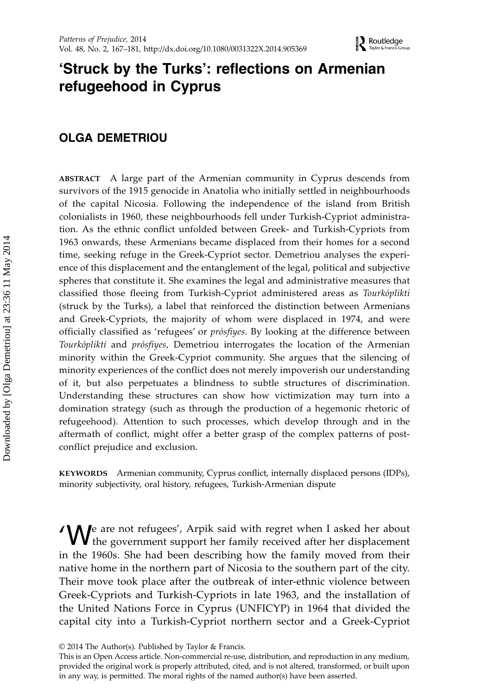# 'Struck by the Turks': reflections on Armenian refugeehood in Cyprus

### OLGA DEMETRIOU

ABSTRACT A large part of the Armenian community in Cyprus descends from survivors of the 1915 genocide in Anatolia who initially settled in neighbourhoods of the capital Nicosia. Following the independence of the island from British colonialists in 1960, these neighbourhoods fell under Turkish-Cypriot administration. As the ethnic conflict unfolded between Greek- and Turkish-Cypriots from 1963 onwards, these Armenians became displaced from their homes for a second time, seeking refuge in the Greek-Cypriot sector. Demetriou analyses the experience of this displacement and the entanglement of the legal, political and subjective spheres that constitute it. She examines the legal and administrative measures that classified those fleeing from Turkish-Cypriot administered areas as Tourkóplikti (struck by the Turks), a label that reinforced the distinction between Armenians and Greek-Cypriots, the majority of whom were displaced in 1974, and were officially classified as 'refugees' or prósfiyes. By looking at the difference between Tourkóplikti and prósfiyes, Demetriou interrogates the location of the Armenian minority within the Greek-Cypriot community. She argues that the silencing of minority experiences of the conflict does not merely impoverish our understanding of it, but also perpetuates a blindness to subtle structures of discrimination. Understanding these structures can show how victimization may turn into a domination strategy (such as through the production of a hegemonic rhetoric of refugeehood). Attention to such processes, which develop through and in the aftermath of conflict, might offer a better grasp of the complex patterns of postconflict prejudice and exclusion.

KEYWORDS Armenian community, Cyprus conflict, internally displaced persons (IDPs), minority subjectivity, oral history, refugees, Turkish-Armenian dispute

'We are not refugees', Arpik said with regret when I asked her about the government support her family received after her displacement in the 1960s. She had been describing how the family moved from their native home in the northern part of Nicosia to the southern part of the city. Their move took place after the outbreak of inter-ethnic violence between Greek-Cypriots and Turkish-Cypriots in late 1963, and the installation of the United Nations Force in Cyprus (UNFICYP) in 1964 that divided the capital city into a Turkish-Cypriot northern sector and a Greek-Cypriot

<sup>© 2014</sup> The Author(s). Published by Taylor & Francis.

This is an Open Access article. Non-commercial re-use, distribution, and reproduction in any medium, provided the original work is properly attributed, cited, and is not altered, transformed, or built upon in any way, is permitted. The moral rights of the named author(s) have been asserted.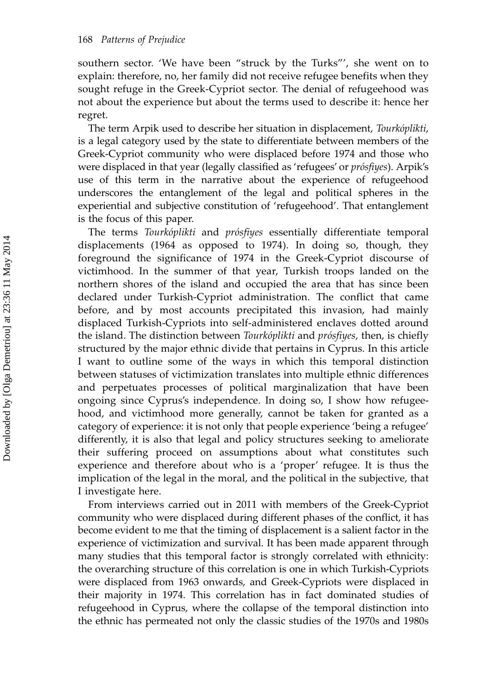southern sector. 'We have been "struck by the Turks"', she went on to explain: therefore, no, her family did not receive refugee benefits when they sought refuge in the Greek-Cypriot sector. The denial of refugeehood was not about the experience but about the terms used to describe it: hence her regret.

The term Arpik used to describe her situation in displacement, Tourkóplikti, is a legal category used by the state to differentiate between members of the Greek-Cypriot community who were displaced before 1974 and those who were displaced in that year (legally classified as 'refugees' or prósfiyes). Arpik's use of this term in the narrative about the experience of refugeehood underscores the entanglement of the legal and political spheres in the experiential and subjective constitution of 'refugeehood'. That entanglement is the focus of this paper.

The terms Tourkóplikti and prósfiyes essentially differentiate temporal displacements (1964 as opposed to 1974). In doing so, though, they foreground the significance of 1974 in the Greek-Cypriot discourse of victimhood. In the summer of that year, Turkish troops landed on the northern shores of the island and occupied the area that has since been declared under Turkish-Cypriot administration. The conflict that came before, and by most accounts precipitated this invasion, had mainly displaced Turkish-Cypriots into self-administered enclaves dotted around the island. The distinction between *Tourkóplikti* and *prósfiyes*, then, is chiefly structured by the major ethnic divide that pertains in Cyprus. In this article I want to outline some of the ways in which this temporal distinction between statuses of victimization translates into multiple ethnic differences and perpetuates processes of political marginalization that have been ongoing since Cyprus's independence. In doing so, I show how refugeehood, and victimhood more generally, cannot be taken for granted as a category of experience: it is not only that people experience 'being a refugee' differently, it is also that legal and policy structures seeking to ameliorate their suffering proceed on assumptions about what constitutes such experience and therefore about who is a 'proper' refugee. It is thus the implication of the legal in the moral, and the political in the subjective, that I investigate here.

From interviews carried out in 2011 with members of the Greek-Cypriot community who were displaced during different phases of the conflict, it has become evident to me that the timing of displacement is a salient factor in the experience of victimization and survival. It has been made apparent through many studies that this temporal factor is strongly correlated with ethnicity: the overarching structure of this correlation is one in which Turkish-Cypriots were displaced from 1963 onwards, and Greek-Cypriots were displaced in their majority in 1974. This correlation has in fact dominated studies of refugeehood in Cyprus, where the collapse of the temporal distinction into the ethnic has permeated not only the classic studies of the 1970s and 1980s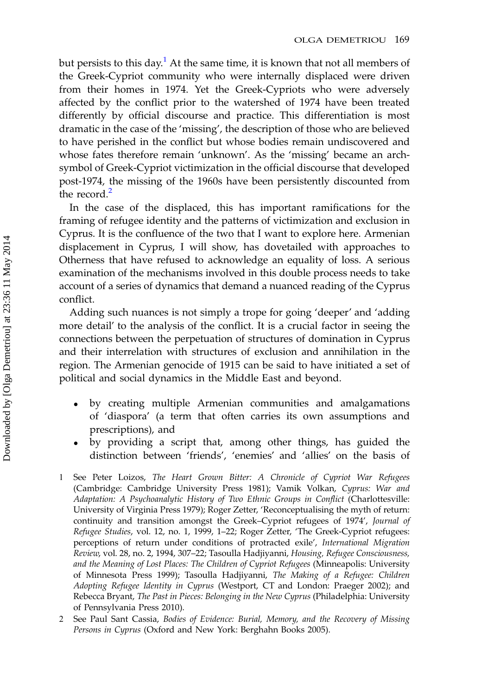but persists to this day.<sup>1</sup> At the same time, it is known that not all members of the Greek-Cypriot community who were internally displaced were driven from their homes in 1974. Yet the Greek-Cypriots who were adversely affected by the conflict prior to the watershed of 1974 have been treated differently by official discourse and practice. This differentiation is most dramatic in the case of the 'missing', the description of those who are believed to have perished in the conflict but whose bodies remain undiscovered and whose fates therefore remain 'unknown'. As the 'missing' became an archsymbol of Greek-Cypriot victimization in the official discourse that developed post-1974, the missing of the 1960s have been persistently discounted from the record.<sup>2</sup>

In the case of the displaced, this has important ramifications for the framing of refugee identity and the patterns of victimization and exclusion in Cyprus. It is the confluence of the two that I want to explore here. Armenian displacement in Cyprus, I will show, has dovetailed with approaches to Otherness that have refused to acknowledge an equality of loss. A serious examination of the mechanisms involved in this double process needs to take account of a series of dynamics that demand a nuanced reading of the Cyprus conflict.

Adding such nuances is not simply a trope for going 'deeper' and 'adding more detail' to the analysis of the conflict. It is a crucial factor in seeing the connections between the perpetuation of structures of domination in Cyprus and their interrelation with structures of exclusion and annihilation in the region. The Armenian genocide of 1915 can be said to have initiated a set of political and social dynamics in the Middle East and beyond.

- . by creating multiple Armenian communities and amalgamations of 'diaspora' (a term that often carries its own assumptions and prescriptions), and
- . by providing a script that, among other things, has guided the distinction between 'friends', 'enemies' and 'allies' on the basis of
- 1 See Peter Loizos, The Heart Grown Bitter: A Chronicle of Cypriot War Refugees (Cambridge: Cambridge University Press 1981); Vamik Volkan, Cyprus: War and Adaptation: A Psychoanalytic History of Two Ethnic Groups in Conflict (Charlottesville: University of Virginia Press 1979); Roger Zetter, 'Reconceptualising the myth of return: continuity and transition amongst the Greek–Cypriot refugees of 1974', Journal of Refugee Studies, vol. 12, no. 1, 1999, 1–22; Roger Zetter, 'The Greek-Cypriot refugees: perceptions of return under conditions of protracted exile', International Migration Review, vol. 28, no. 2, 1994, 307–22; Tasoulla Hadjiyanni, Housing, Refugee Consciousness, and the Meaning of Lost Places: The Children of Cypriot Refugees (Minneapolis: University of Minnesota Press 1999); Tasoulla Hadjiyanni, The Making of a Refugee: Children Adopting Refugee Identity in Cyprus (Westport, CT and London: Praeger 2002); and Rebecca Bryant, The Past in Pieces: Belonging in the New Cyprus (Philadelphia: University of Pennsylvania Press 2010).
- 2 See Paul Sant Cassia, Bodies of Evidence: Burial, Memory, and the Recovery of Missing Persons in Cyprus (Oxford and New York: Berghahn Books 2005).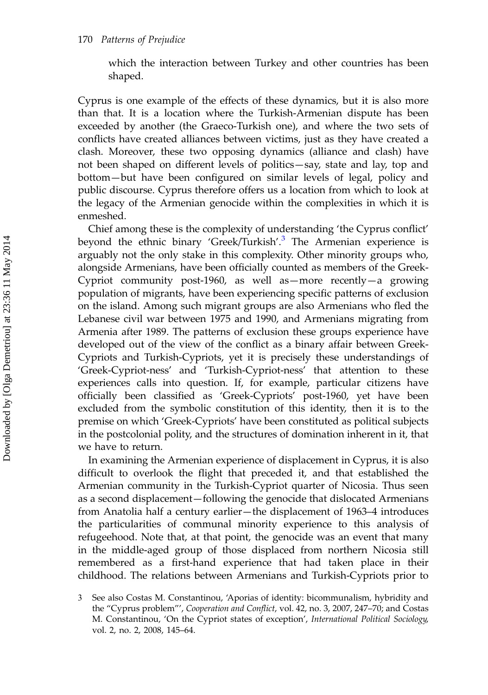which the interaction between Turkey and other countries has been shaped.

Cyprus is one example of the effects of these dynamics, but it is also more than that. It is a location where the Turkish-Armenian dispute has been exceeded by another (the Graeco-Turkish one), and where the two sets of conflicts have created alliances between victims, just as they have created a clash. Moreover, these two opposing dynamics (alliance and clash) have not been shaped on different levels of politics—say, state and lay, top and bottom—but have been configured on similar levels of legal, policy and public discourse. Cyprus therefore offers us a location from which to look at the legacy of the Armenian genocide within the complexities in which it is enmeshed.

Chief among these is the complexity of understanding 'the Cyprus conflict' beyond the ethnic binary 'Greek/Turkish'.<sup>3</sup> The Armenian experience is arguably not the only stake in this complexity. Other minority groups who, alongside Armenians, have been officially counted as members of the Greek-Cypriot community post-1960, as well as—more recently—a growing population of migrants, have been experiencing specific patterns of exclusion on the island. Among such migrant groups are also Armenians who fled the Lebanese civil war between 1975 and 1990, and Armenians migrating from Armenia after 1989. The patterns of exclusion these groups experience have developed out of the view of the conflict as a binary affair between Greek-Cypriots and Turkish-Cypriots, yet it is precisely these understandings of 'Greek-Cypriot-ness' and 'Turkish-Cypriot-ness' that attention to these experiences calls into question. If, for example, particular citizens have officially been classified as 'Greek-Cypriots' post-1960, yet have been excluded from the symbolic constitution of this identity, then it is to the premise on which 'Greek-Cypriots' have been constituted as political subjects in the postcolonial polity, and the structures of domination inherent in it, that we have to return.

In examining the Armenian experience of displacement in Cyprus, it is also difficult to overlook the flight that preceded it, and that established the Armenian community in the Turkish-Cypriot quarter of Nicosia. Thus seen as a second displacement—following the genocide that dislocated Armenians from Anatolia half a century earlier—the displacement of 1963–4 introduces the particularities of communal minority experience to this analysis of refugeehood. Note that, at that point, the genocide was an event that many in the middle-aged group of those displaced from northern Nicosia still remembered as a first-hand experience that had taken place in their childhood. The relations between Armenians and Turkish-Cypriots prior to

<sup>3</sup> See also Costas M. Constantinou, 'Aporias of identity: bicommunalism, hybridity and the "Cyprus problem"', Cooperation and Conflict, vol. 42, no. 3, 2007, 247–70; and Costas M. Constantinou, 'On the Cypriot states of exception', International Political Sociology, vol. 2, no. 2, 2008, 145–64.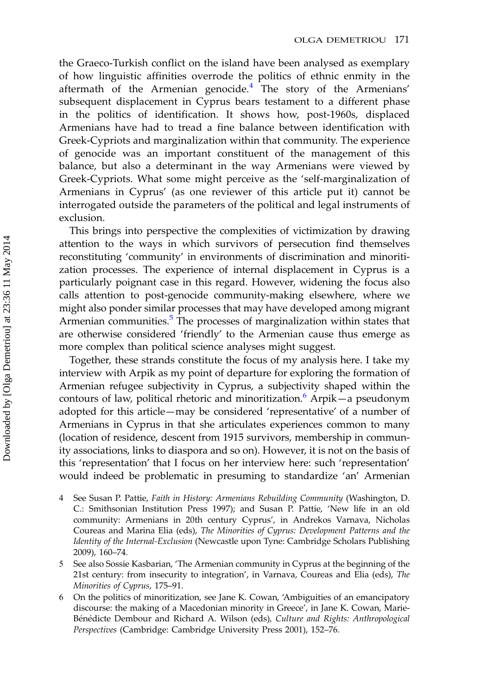the Graeco-Turkish conflict on the island have been analysed as exemplary of how linguistic affinities overrode the politics of ethnic enmity in the aftermath of the Armenian genocide.<sup>4</sup> The story of the Armenians' subsequent displacement in Cyprus bears testament to a different phase in the politics of identification. It shows how, post-1960s, displaced Armenians have had to tread a fine balance between identification with Greek-Cypriots and marginalization within that community. The experience of genocide was an important constituent of the management of this balance, but also a determinant in the way Armenians were viewed by Greek-Cypriots. What some might perceive as the 'self-marginalization of Armenians in Cyprus' (as one reviewer of this article put it) cannot be interrogated outside the parameters of the political and legal instruments of exclusion.

This brings into perspective the complexities of victimization by drawing attention to the ways in which survivors of persecution find themselves reconstituting 'community' in environments of discrimination and minoritization processes. The experience of internal displacement in Cyprus is a particularly poignant case in this regard. However, widening the focus also calls attention to post-genocide community-making elsewhere, where we might also ponder similar processes that may have developed among migrant Armenian communities. $5$  The processes of marginalization within states that are otherwise considered 'friendly' to the Armenian cause thus emerge as more complex than political science analyses might suggest.

Together, these strands constitute the focus of my analysis here. I take my interview with Arpik as my point of departure for exploring the formation of Armenian refugee subjectivity in Cyprus, a subjectivity shaped within the contours of law, political rhetoric and minoritization.<sup>6</sup> Arpik—a pseudonym adopted for this article—may be considered 'representative' of a number of Armenians in Cyprus in that she articulates experiences common to many (location of residence, descent from 1915 survivors, membership in community associations, links to diaspora and so on). However, it is not on the basis of this 'representation' that I focus on her interview here: such 'representation' would indeed be problematic in presuming to standardize 'an' Armenian

- See Susan P. Pattie, Faith in History: Armenians Rebuilding Community (Washington, D. C.: Smithsonian Institution Press 1997); and Susan P. Pattie, 'New life in an old community: Armenians in 20th century Cyprus', in Andrekos Varnava, Nicholas Coureas and Marina Elia (eds), The Minorities of Cyprus: Development Patterns and the Identity of the Internal-Exclusion (Newcastle upon Tyne: Cambridge Scholars Publishing 2009), 160–74.
- 5 See also Sossie Kasbarian, 'The Armenian community in Cyprus at the beginning of the 21st century: from insecurity to integration', in Varnava, Coureas and Elia (eds), The Minorities of Cyprus, 175–91.
- 6 On the politics of minoritization, see Jane K. Cowan, 'Ambiguities of an emancipatory discourse: the making of a Macedonian minority in Greece', in Jane K. Cowan, Marie-Bénédicte Dembour and Richard A. Wilson (eds), Culture and Rights: Anthropological Perspectives (Cambridge: Cambridge University Press 2001), 152–76.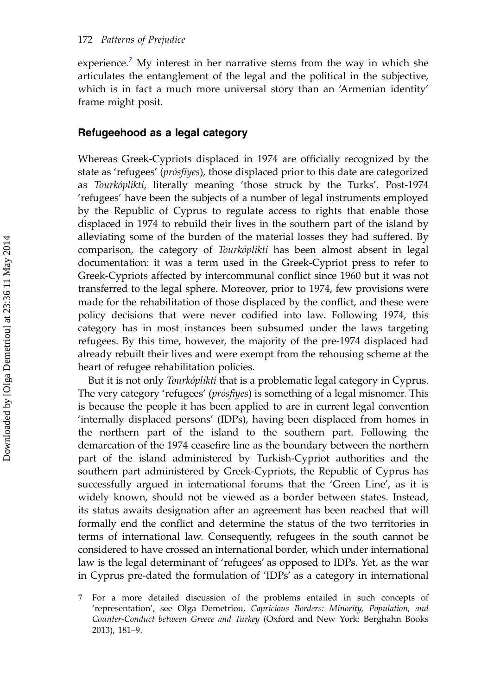experience.<sup>7</sup> My interest in her narrative stems from the way in which she articulates the entanglement of the legal and the political in the subjective, which is in fact a much more universal story than an 'Armenian identity' frame might posit.

#### Refugeehood as a legal category

Whereas Greek-Cypriots displaced in 1974 are officially recognized by the state as 'refugees' (prósfiyes), those displaced prior to this date are categorized as Tourkóplikti, literally meaning 'those struck by the Turks'. Post-1974 'refugees' have been the subjects of a number of legal instruments employed by the Republic of Cyprus to regulate access to rights that enable those displaced in 1974 to rebuild their lives in the southern part of the island by alleviating some of the burden of the material losses they had suffered. By comparison, the category of Tourkóplikti has been almost absent in legal documentation: it was a term used in the Greek-Cypriot press to refer to Greek-Cypriots affected by intercommunal conflict since 1960 but it was not transferred to the legal sphere. Moreover, prior to 1974, few provisions were made for the rehabilitation of those displaced by the conflict, and these were policy decisions that were never codified into law. Following 1974, this category has in most instances been subsumed under the laws targeting refugees. By this time, however, the majority of the pre-1974 displaced had already rebuilt their lives and were exempt from the rehousing scheme at the heart of refugee rehabilitation policies.

But it is not only Tourkóplikti that is a problematic legal category in Cyprus. The very category 'refugees' (prósfiyes) is something of a legal misnomer. This is because the people it has been applied to are in current legal convention 'internally displaced persons' (IDPs), having been displaced from homes in the northern part of the island to the southern part. Following the demarcation of the 1974 ceasefire line as the boundary between the northern part of the island administered by Turkish-Cypriot authorities and the southern part administered by Greek-Cypriots, the Republic of Cyprus has successfully argued in international forums that the 'Green Line', as it is widely known, should not be viewed as a border between states. Instead, its status awaits designation after an agreement has been reached that will formally end the conflict and determine the status of the two territories in terms of international law. Consequently, refugees in the south cannot be considered to have crossed an international border, which under international law is the legal determinant of 'refugees' as opposed to IDPs. Yet, as the war in Cyprus pre-dated the formulation of 'IDPs' as a category in international

<sup>7</sup> For a more detailed discussion of the problems entailed in such concepts of 'representation', see Olga Demetriou, Capricious Borders: Minority, Population, and Counter-Conduct between Greece and Turkey (Oxford and New York: Berghahn Books 2013), 181–9.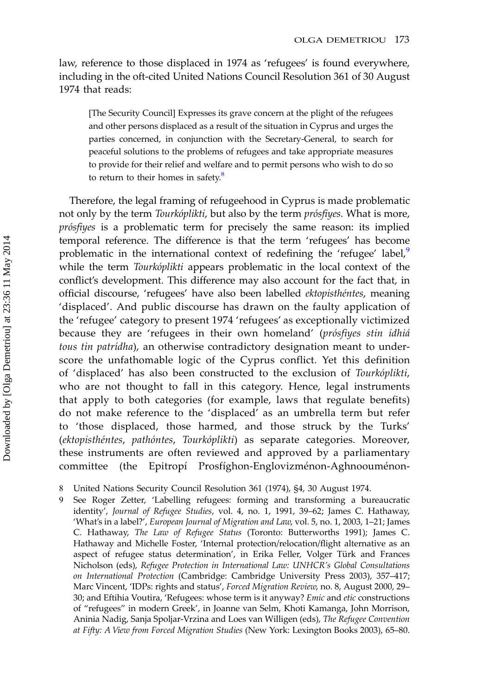law, reference to those displaced in 1974 as 'refugees' is found everywhere, including in the oft-cited United Nations Council Resolution 361 of 30 August 1974 that reads:

[The Security Council] Expresses its grave concern at the plight of the refugees and other persons displaced as a result of the situation in Cyprus and urges the parties concerned, in conjunction with the Secretary-General, to search for peaceful solutions to the problems of refugees and take appropriate measures to provide for their relief and welfare and to permit persons who wish to do so to return to their homes in safety.<sup>8</sup>

Therefore, the legal framing of refugeehood in Cyprus is made problematic not only by the term Tourkóplikti, but also by the term prósfiyes. What is more, prósfiyes is a problematic term for precisely the same reason: its implied temporal reference. The difference is that the term 'refugees' has become problematic in the international context of redefining the 'refugee' label, $9$ while the term Tourkóplikti appears problematic in the local context of the conflict's development. This difference may also account for the fact that, in official discourse, 'refugees' have also been labelled ektopisthéntes, meaning 'displaced'. And public discourse has drawn on the faulty application of the 'refugee' category to present 1974 'refugees' as exceptionally victimized because they are 'refugees in their own homeland' (prósfiyes stin ídhiá tous tin patrídha), an otherwise contradictory designation meant to underscore the unfathomable logic of the Cyprus conflict. Yet this definition of 'displaced' has also been constructed to the exclusion of Tourkóplikti, who are not thought to fall in this category. Hence, legal instruments that apply to both categories (for example, laws that regulate benefits) do not make reference to the 'displaced' as an umbrella term but refer to 'those displaced, those harmed, and those struck by the Turks' (ektopisthéntes, pathóntes, Tourkóplikti) as separate categories. Moreover, these instruments are often reviewed and approved by a parliamentary committee (the Epitropí Prosfíghon-Englovizménon-Aghnoouménon-

8 United Nations Security Council Resolution 361 (1974), §4, 30 August 1974.

9 See Roger Zetter, 'Labelling refugees: forming and transforming a bureaucratic identity', Journal of Refugee Studies, vol. 4, no. 1, 1991, 39–62; James C. Hathaway, 'What's in a label?', European Journal of Migration and Law, vol. 5, no. 1, 2003, 1–21; James C. Hathaway, The Law of Refugee Status (Toronto: Butterworths 1991); James C. Hathaway and Michelle Foster, 'Internal protection/relocation/flight alternative as an aspect of refugee status determination', in Erika Feller, Volger Türk and Frances Nicholson (eds), Refugee Protection in International Law: UNHCR's Global Consultations on International Protection (Cambridge: Cambridge University Press 2003), 357–417; Marc Vincent, 'IDPs: rights and status', Forced Migration Review, no. 8, August 2000, 29– 30; and Eftihia Voutira, 'Refugees: whose term is it anyway? *Emic* and *etic* constructions of "refugees" in modern Greek', in Joanne van Selm, Khoti Kamanga, John Morrison, Aninia Nadig, Sanja Spoljar-Vrzina and Loes van Willigen (eds), The Refugee Convention at Fifty: A View from Forced Migration Studies (New York: Lexington Books 2003), 65–80.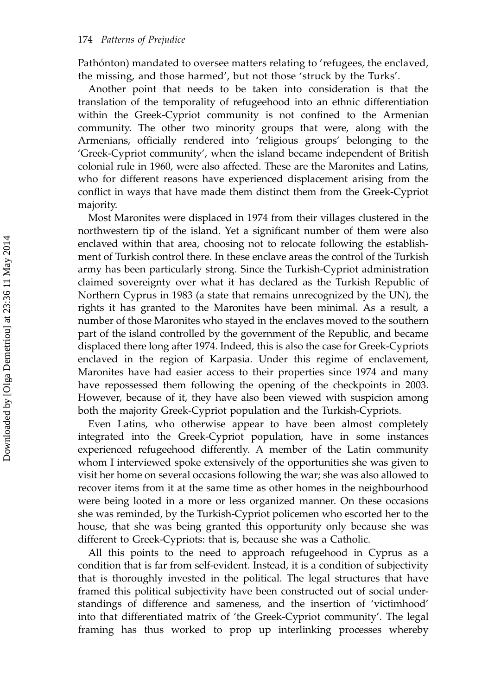Pathónton) mandated to oversee matters relating to 'refugees, the enclaved, the missing, and those harmed', but not those 'struck by the Turks'.

Another point that needs to be taken into consideration is that the translation of the temporality of refugeehood into an ethnic differentiation within the Greek-Cypriot community is not confined to the Armenian community. The other two minority groups that were, along with the Armenians, officially rendered into 'religious groups' belonging to the 'Greek-Cypriot community', when the island became independent of British colonial rule in 1960, were also affected. These are the Maronites and Latins, who for different reasons have experienced displacement arising from the conflict in ways that have made them distinct them from the Greek-Cypriot majority.

Most Maronites were displaced in 1974 from their villages clustered in the northwestern tip of the island. Yet a significant number of them were also enclaved within that area, choosing not to relocate following the establishment of Turkish control there. In these enclave areas the control of the Turkish army has been particularly strong. Since the Turkish-Cypriot administration claimed sovereignty over what it has declared as the Turkish Republic of Northern Cyprus in 1983 (a state that remains unrecognized by the UN), the rights it has granted to the Maronites have been minimal. As a result, a number of those Maronites who stayed in the enclaves moved to the southern part of the island controlled by the government of the Republic, and became displaced there long after 1974. Indeed, this is also the case for Greek-Cypriots enclaved in the region of Karpasia. Under this regime of enclavement, Maronites have had easier access to their properties since 1974 and many have repossessed them following the opening of the checkpoints in 2003. However, because of it, they have also been viewed with suspicion among both the majority Greek-Cypriot population and the Turkish-Cypriots.

Even Latins, who otherwise appear to have been almost completely integrated into the Greek-Cypriot population, have in some instances experienced refugeehood differently. A member of the Latin community whom I interviewed spoke extensively of the opportunities she was given to visit her home on several occasions following the war; she was also allowed to recover items from it at the same time as other homes in the neighbourhood were being looted in a more or less organized manner. On these occasions she was reminded, by the Turkish-Cypriot policemen who escorted her to the house, that she was being granted this opportunity only because she was different to Greek-Cypriots: that is, because she was a Catholic.

All this points to the need to approach refugeehood in Cyprus as a condition that is far from self-evident. Instead, it is a condition of subjectivity that is thoroughly invested in the political. The legal structures that have framed this political subjectivity have been constructed out of social understandings of difference and sameness, and the insertion of 'victimhood' into that differentiated matrix of 'the Greek-Cypriot community'. The legal framing has thus worked to prop up interlinking processes whereby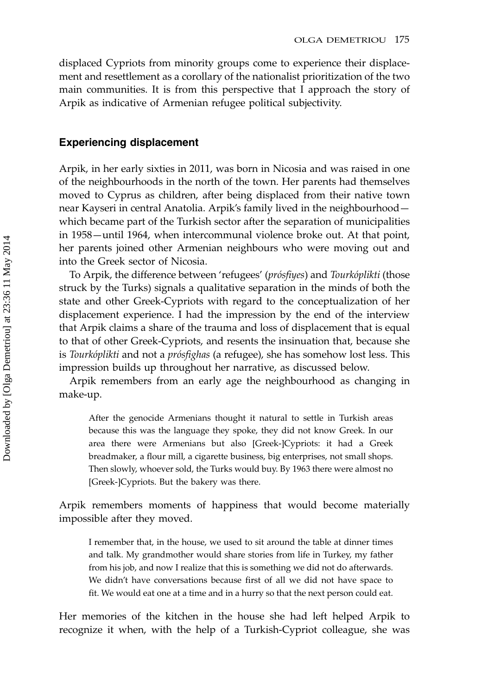displaced Cypriots from minority groups come to experience their displacement and resettlement as a corollary of the nationalist prioritization of the two main communities. It is from this perspective that I approach the story of Arpik as indicative of Armenian refugee political subjectivity.

### Experiencing displacement

Arpik, in her early sixties in 2011, was born in Nicosia and was raised in one of the neighbourhoods in the north of the town. Her parents had themselves moved to Cyprus as children, after being displaced from their native town near Kayseri in central Anatolia. Arpik's family lived in the neighbourhood which became part of the Turkish sector after the separation of municipalities in 1958—until 1964, when intercommunal violence broke out. At that point, her parents joined other Armenian neighbours who were moving out and into the Greek sector of Nicosia.

To Arpik, the difference between 'refugees' (prósfiyes) and Tourkóplikti (those struck by the Turks) signals a qualitative separation in the minds of both the state and other Greek-Cypriots with regard to the conceptualization of her displacement experience. I had the impression by the end of the interview that Arpik claims a share of the trauma and loss of displacement that is equal to that of other Greek-Cypriots, and resents the insinuation that, because she is Tourkóplikti and not a prósfighas (a refugee), she has somehow lost less. This impression builds up throughout her narrative, as discussed below.

Arpik remembers from an early age the neighbourhood as changing in make-up.

After the genocide Armenians thought it natural to settle in Turkish areas because this was the language they spoke, they did not know Greek. In our area there were Armenians but also [Greek-]Cypriots: it had a Greek breadmaker, a flour mill, a cigarette business, big enterprises, not small shops. Then slowly, whoever sold, the Turks would buy. By 1963 there were almost no [Greek-]Cypriots. But the bakery was there.

Arpik remembers moments of happiness that would become materially impossible after they moved.

I remember that, in the house, we used to sit around the table at dinner times and talk. My grandmother would share stories from life in Turkey, my father from his job, and now I realize that this is something we did not do afterwards. We didn't have conversations because first of all we did not have space to fit. We would eat one at a time and in a hurry so that the next person could eat.

Her memories of the kitchen in the house she had left helped Arpik to recognize it when, with the help of a Turkish-Cypriot colleague, she was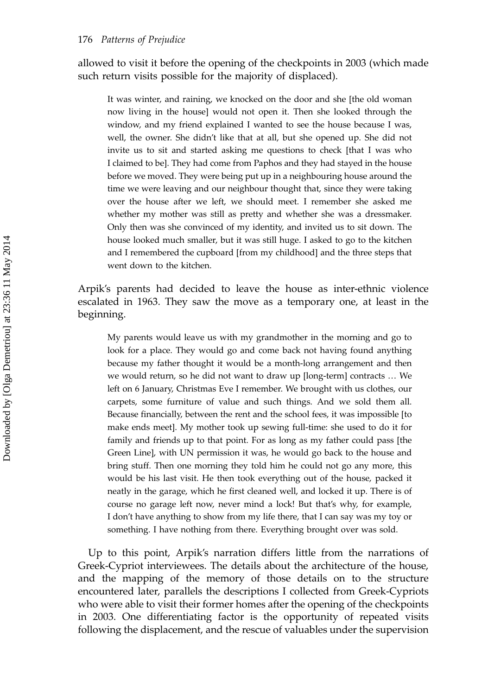allowed to visit it before the opening of the checkpoints in 2003 (which made such return visits possible for the majority of displaced).

It was winter, and raining, we knocked on the door and she [the old woman now living in the house] would not open it. Then she looked through the window, and my friend explained I wanted to see the house because I was, well, the owner. She didn't like that at all, but she opened up. She did not invite us to sit and started asking me questions to check [that I was who I claimed to be]. They had come from Paphos and they had stayed in the house before we moved. They were being put up in a neighbouring house around the time we were leaving and our neighbour thought that, since they were taking over the house after we left, we should meet. I remember she asked me whether my mother was still as pretty and whether she was a dressmaker. Only then was she convinced of my identity, and invited us to sit down. The house looked much smaller, but it was still huge. I asked to go to the kitchen and I remembered the cupboard [from my childhood] and the three steps that went down to the kitchen.

### Arpik's parents had decided to leave the house as inter-ethnic violence escalated in 1963. They saw the move as a temporary one, at least in the beginning.

My parents would leave us with my grandmother in the morning and go to look for a place. They would go and come back not having found anything because my father thought it would be a month-long arrangement and then we would return, so he did not want to draw up [long-term] contracts … We left on 6 January, Christmas Eve I remember. We brought with us clothes, our carpets, some furniture of value and such things. And we sold them all. Because financially, between the rent and the school fees, it was impossible [to make ends meet]. My mother took up sewing full-time: she used to do it for family and friends up to that point. For as long as my father could pass [the Green Line], with UN permission it was, he would go back to the house and bring stuff. Then one morning they told him he could not go any more, this would be his last visit. He then took everything out of the house, packed it neatly in the garage, which he first cleaned well, and locked it up. There is of course no garage left now, never mind a lock! But that's why, for example, I don't have anything to show from my life there, that I can say was my toy or something. I have nothing from there. Everything brought over was sold.

Up to this point, Arpik's narration differs little from the narrations of Greek-Cypriot interviewees. The details about the architecture of the house, and the mapping of the memory of those details on to the structure encountered later, parallels the descriptions I collected from Greek-Cypriots who were able to visit their former homes after the opening of the checkpoints in 2003. One differentiating factor is the opportunity of repeated visits following the displacement, and the rescue of valuables under the supervision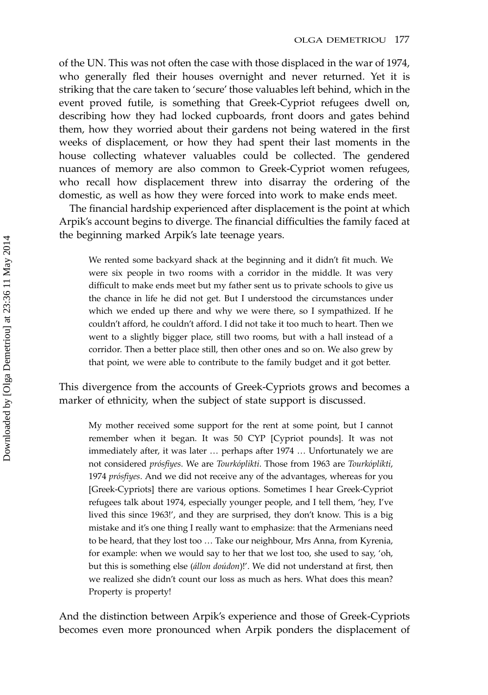of the UN. This was not often the case with those displaced in the war of 1974, who generally fled their houses overnight and never returned. Yet it is striking that the care taken to 'secure' those valuables left behind, which in the event proved futile, is something that Greek-Cypriot refugees dwell on, describing how they had locked cupboards, front doors and gates behind them, how they worried about their gardens not being watered in the first weeks of displacement, or how they had spent their last moments in the house collecting whatever valuables could be collected. The gendered nuances of memory are also common to Greek-Cypriot women refugees, who recall how displacement threw into disarray the ordering of the domestic, as well as how they were forced into work to make ends meet.

The financial hardship experienced after displacement is the point at which Arpik's account begins to diverge. The financial difficulties the family faced at the beginning marked Arpik's late teenage years.

We rented some backyard shack at the beginning and it didn't fit much. We were six people in two rooms with a corridor in the middle. It was very difficult to make ends meet but my father sent us to private schools to give us the chance in life he did not get. But I understood the circumstances under which we ended up there and why we were there, so I sympathized. If he couldn't afford, he couldn't afford. I did not take it too much to heart. Then we went to a slightly bigger place, still two rooms, but with a hall instead of a corridor. Then a better place still, then other ones and so on. We also grew by that point, we were able to contribute to the family budget and it got better.

This divergence from the accounts of Greek-Cypriots grows and becomes a marker of ethnicity, when the subject of state support is discussed.

My mother received some support for the rent at some point, but I cannot remember when it began. It was 50 CYP [Cypriot pounds]. It was not immediately after, it was later … perhaps after 1974 … Unfortunately we are not considered prósfiyes. We are Tourkóplikti. Those from 1963 are Tourkóplikti, 1974 prósfiyes. And we did not receive any of the advantages, whereas for you [Greek-Cypriots] there are various options. Sometimes I hear Greek-Cypriot refugees talk about 1974, especially younger people, and I tell them, 'hey, I've lived this since 1963!', and they are surprised, they don't know. This is a big mistake and it's one thing I really want to emphasize: that the Armenians need to be heard, that they lost too … Take our neighbour, Mrs Anna, from Kyrenia, for example: when we would say to her that we lost too, she used to say, 'oh, but this is something else (állon doúdon)!'. We did not understand at first, then we realized she didn't count our loss as much as hers. What does this mean? Property is property!

And the distinction between Arpik's experience and those of Greek-Cypriots becomes even more pronounced when Arpik ponders the displacement of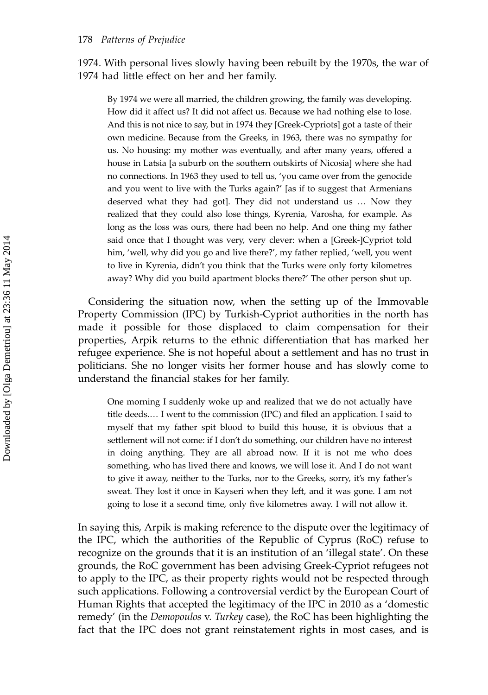1974. With personal lives slowly having been rebuilt by the 1970s, the war of 1974 had little effect on her and her family.

By 1974 we were all married, the children growing, the family was developing. How did it affect us? It did not affect us. Because we had nothing else to lose. And this is not nice to say, but in 1974 they [Greek-Cypriots] got a taste of their own medicine. Because from the Greeks, in 1963, there was no sympathy for us. No housing: my mother was eventually, and after many years, offered a house in Latsia [a suburb on the southern outskirts of Nicosia] where she had no connections. In 1963 they used to tell us, 'you came over from the genocide and you went to live with the Turks again?' [as if to suggest that Armenians deserved what they had got]. They did not understand us … Now they realized that they could also lose things, Kyrenia, Varosha, for example. As long as the loss was ours, there had been no help. And one thing my father said once that I thought was very, very clever: when a [Greek-]Cypriot told him, 'well, why did you go and live there?', my father replied, 'well, you went to live in Kyrenia, didn't you think that the Turks were only forty kilometres away? Why did you build apartment blocks there?' The other person shut up.

Considering the situation now, when the setting up of the Immovable Property Commission (IPC) by Turkish-Cypriot authorities in the north has made it possible for those displaced to claim compensation for their properties, Arpik returns to the ethnic differentiation that has marked her refugee experience. She is not hopeful about a settlement and has no trust in politicians. She no longer visits her former house and has slowly come to understand the financial stakes for her family.

One morning I suddenly woke up and realized that we do not actually have title deeds.… I went to the commission (IPC) and filed an application. I said to myself that my father spit blood to build this house, it is obvious that a settlement will not come: if I don't do something, our children have no interest in doing anything. They are all abroad now. If it is not me who does something, who has lived there and knows, we will lose it. And I do not want to give it away, neither to the Turks, nor to the Greeks, sorry, it's my father's sweat. They lost it once in Kayseri when they left, and it was gone. I am not going to lose it a second time, only five kilometres away. I will not allow it.

In saying this, Arpik is making reference to the dispute over the legitimacy of the IPC, which the authorities of the Republic of Cyprus (RoC) refuse to recognize on the grounds that it is an institution of an 'illegal state'. On these grounds, the RoC government has been advising Greek-Cypriot refugees not to apply to the IPC, as their property rights would not be respected through such applications. Following a controversial verdict by the European Court of Human Rights that accepted the legitimacy of the IPC in 2010 as a 'domestic remedy' (in the *Demopoulos v. Turkey* case), the RoC has been highlighting the fact that the IPC does not grant reinstatement rights in most cases, and is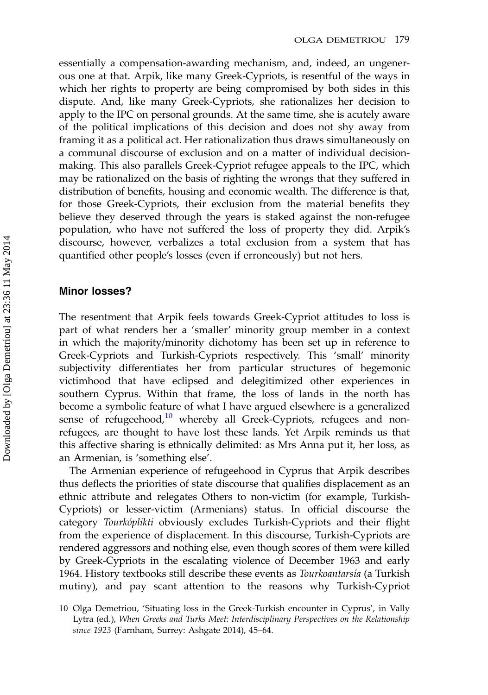essentially a compensation-awarding mechanism, and, indeed, an ungenerous one at that. Arpik, like many Greek-Cypriots, is resentful of the ways in which her rights to property are being compromised by both sides in this dispute. And, like many Greek-Cypriots, she rationalizes her decision to apply to the IPC on personal grounds. At the same time, she is acutely aware of the political implications of this decision and does not shy away from framing it as a political act. Her rationalization thus draws simultaneously on a communal discourse of exclusion and on a matter of individual decisionmaking. This also parallels Greek-Cypriot refugee appeals to the IPC, which may be rationalized on the basis of righting the wrongs that they suffered in distribution of benefits, housing and economic wealth. The difference is that, for those Greek-Cypriots, their exclusion from the material benefits they believe they deserved through the years is staked against the non-refugee population, who have not suffered the loss of property they did. Arpik's discourse, however, verbalizes a total exclusion from a system that has quantified other people's losses (even if erroneously) but not hers.

### Minor losses?

The resentment that Arpik feels towards Greek-Cypriot attitudes to loss is part of what renders her a 'smaller' minority group member in a context in which the majority/minority dichotomy has been set up in reference to Greek-Cypriots and Turkish-Cypriots respectively. This 'small' minority subjectivity differentiates her from particular structures of hegemonic victimhood that have eclipsed and delegitimized other experiences in southern Cyprus. Within that frame, the loss of lands in the north has become a symbolic feature of what I have argued elsewhere is a generalized sense of refugeehood, $10$  whereby all Greek-Cypriots, refugees and nonrefugees, are thought to have lost these lands. Yet Arpik reminds us that this affective sharing is ethnically delimited: as Mrs Anna put it, her loss, as an Armenian, is 'something else'.

The Armenian experience of refugeehood in Cyprus that Arpik describes thus deflects the priorities of state discourse that qualifies displacement as an ethnic attribute and relegates Others to non-victim (for example, Turkish-Cypriots) or lesser-victim (Armenians) status. In official discourse the category Tourkóplikti obviously excludes Turkish-Cypriots and their flight from the experience of displacement. In this discourse, Turkish-Cypriots are rendered aggressors and nothing else, even though scores of them were killed by Greek-Cypriots in the escalating violence of December 1963 and early 1964. History textbooks still describe these events as Tourkoantarsía (a Turkish mutiny), and pay scant attention to the reasons why Turkish-Cypriot

<sup>10</sup> Olga Demetriou, 'Situating loss in the Greek-Turkish encounter in Cyprus', in Vally Lytra (ed.), When Greeks and Turks Meet: Interdisciplinary Perspectives on the Relationship since 1923 (Farnham, Surrey: Ashgate 2014), 45–64.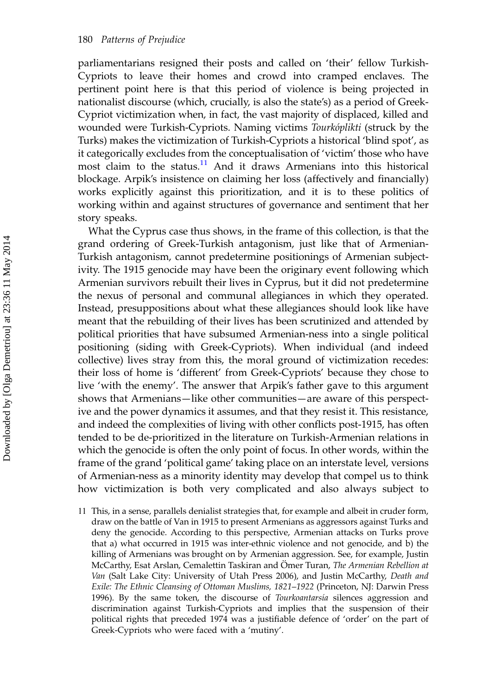parliamentarians resigned their posts and called on 'their' fellow Turkish-Cypriots to leave their homes and crowd into cramped enclaves. The pertinent point here is that this period of violence is being projected in nationalist discourse (which, crucially, is also the state's) as a period of Greek-Cypriot victimization when, in fact, the vast majority of displaced, killed and wounded were Turkish-Cypriots. Naming victims Tourkóplikti (struck by the Turks) makes the victimization of Turkish-Cypriots a historical 'blind spot', as it categorically excludes from the conceptualisation of 'victim' those who have most claim to the status.<sup>11</sup> And it draws Armenians into this historical blockage. Arpik's insistence on claiming her loss (affectively and financially) works explicitly against this prioritization, and it is to these politics of working within and against structures of governance and sentiment that her story speaks.

What the Cyprus case thus shows, in the frame of this collection, is that the grand ordering of Greek-Turkish antagonism, just like that of Armenian-Turkish antagonism, cannot predetermine positionings of Armenian subjectivity. The 1915 genocide may have been the originary event following which Armenian survivors rebuilt their lives in Cyprus, but it did not predetermine the nexus of personal and communal allegiances in which they operated. Instead, presuppositions about what these allegiances should look like have meant that the rebuilding of their lives has been scrutinized and attended by political priorities that have subsumed Armenian-ness into a single political positioning (siding with Greek-Cypriots). When individual (and indeed collective) lives stray from this, the moral ground of victimization recedes: their loss of home is 'different' from Greek-Cypriots' because they chose to live 'with the enemy'. The answer that Arpik's father gave to this argument shows that Armenians—like other communities—are aware of this perspective and the power dynamics it assumes, and that they resist it. This resistance, and indeed the complexities of living with other conflicts post-1915, has often tended to be de-prioritized in the literature on Turkish-Armenian relations in which the genocide is often the only point of focus. In other words, within the frame of the grand 'political game' taking place on an interstate level, versions of Armenian-ness as a minority identity may develop that compel us to think how victimization is both very complicated and also always subject to

11 This, in a sense, parallels denialist strategies that, for example and albeit in cruder form, draw on the battle of Van in 1915 to present Armenians as aggressors against Turks and deny the genocide. According to this perspective, Armenian attacks on Turks prove that a) what occurred in 1915 was inter-ethnic violence and not genocide, and b) the killing of Armenians was brought on by Armenian aggression. See, for example, Justin McCarthy, Esat Arslan, Cemalettin Taskiran and Ömer Turan, The Armenian Rebellion at Van (Salt Lake City: University of Utah Press 2006), and Justin McCarthy, Death and Exile: The Ethnic Cleansing of Ottoman Muslims, 1821–1922 (Princeton, NJ: Darwin Press 1996). By the same token, the discourse of Tourkoantarsía silences aggression and discrimination against Turkish-Cypriots and implies that the suspension of their political rights that preceded 1974 was a justifiable defence of 'order' on the part of Greek-Cypriots who were faced with a 'mutiny'.